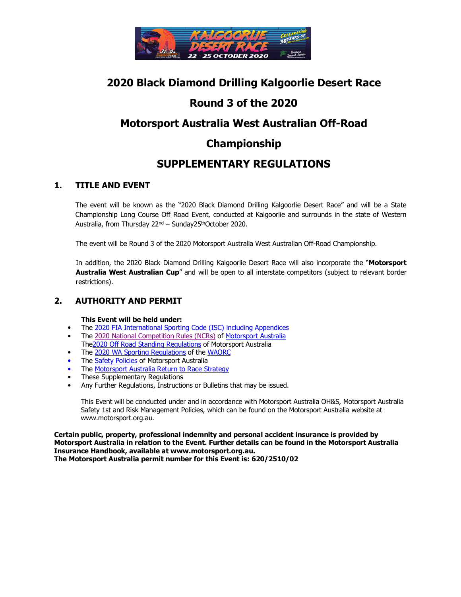

# **2020 Black Diamond Drilling Kalgoorlie Desert Race**

# **Round 3 of the 2020**

# **Motorsport Australia West Australian Off-Road**

# **Championship**

# **SUPPLEMENTARY REGULATIONS**

# **1. TITLE AND EVENT**

The event will be known as the "2020 Black Diamond Drilling Kalgoorlie Desert Race" and will be a State Championship Long Course Off Road Event, conducted at Kalgoorlie and surrounds in the state of Western Australia, from Thursday 22<sup>nd</sup> – Sunday25<sup>th</sup>October 2020.

The event will be Round 3 of the 2020 Motorsport Australia West Australian Off-Road Championship.

 In addition, the 2020 Black Diamond Drilling Kalgoorlie Desert Race will also incorporate the "**Motorsport Australia West Australian Cup**" and will be open to all interstate competitors (subject to relevant border restrictions).

# **2. AUTHORITY AND PERMIT**

**This Event will be held under:** 

- The 2020 FIA International Sporting Code (ISC) including Appendices
- The 2020 National Competition Rules (NCRs) of Motorsport Australia
- The2020 Off Road Standing Regulations of Motorsport Australia
- The 2020 WA Sporting Regulations of the WAORC
- The Safety Policies of Motorsport Australia
- The **Motorsport Australia Return to Race Strategy**
- These Supplementary Regulations
- Any Further Regulations, Instructions or Bulletins that may be issued.

This Event will be conducted under and in accordance with Motorsport Australia OH&S, Motorsport Australia Safety 1st and Risk Management Policies, which can be found on the Motorsport Australia website at www.motorsport.org.au.

**Certain public, property, professional indemnity and personal accident insurance is provided by Motorsport Australia in relation to the Event. Further details can be found in the Motorsport Australia Insurance Handbook, available at www.motorsport.org.au. The Motorsport Australia permit number for this Event is: 620/2510/02**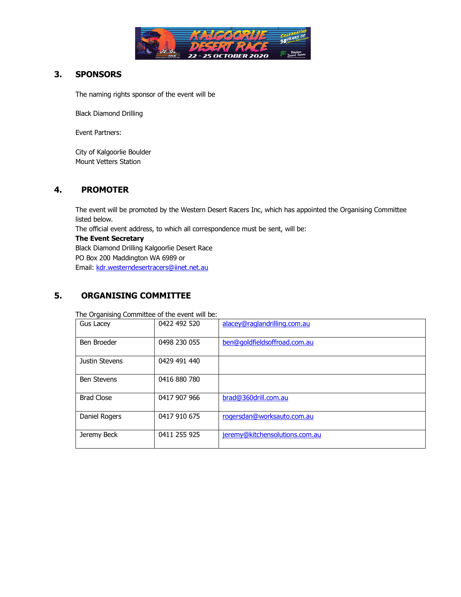

# **3. SPONSORS**

The naming rights sponsor of the event will be

Black Diamond Drilling

Event Partners:

City of Kalgoorlie Boulder Mount Vetters Station

## **4. PROMOTER**

The event will be promoted by the Western Desert Racers Inc, which has appointed the Organising Committee listed below.

The official event address, to which all correspondence must be sent, will be:

#### **The Event Secretary**

Black Diamond Drilling Kalgoorlie Desert Race PO Box 200 Maddington WA 6989 or Email: kdr.westerndesertracers@iinet.net.au

# **5. ORGANISING COMMITTEE**

The Organising Committee of the event will be:

| Gus Lacey          | 0422 492 520 | alacey@raglandrilling.com.au   |
|--------------------|--------------|--------------------------------|
| Ben Broeder        | 0498 230 055 | ben@goldfieldsoffroad.com.au   |
| Justin Stevens     | 0429 491 440 |                                |
| <b>Ben Stevens</b> | 0416 880 780 |                                |
| <b>Brad Close</b>  | 0417 907 966 | brad@360drill.com.au           |
| Daniel Rogers      | 0417 910 675 | rogersdan@worksauto.com.au     |
| Jeremy Beck        | 0411 255 925 | jeremy@kitchensolutions.com.au |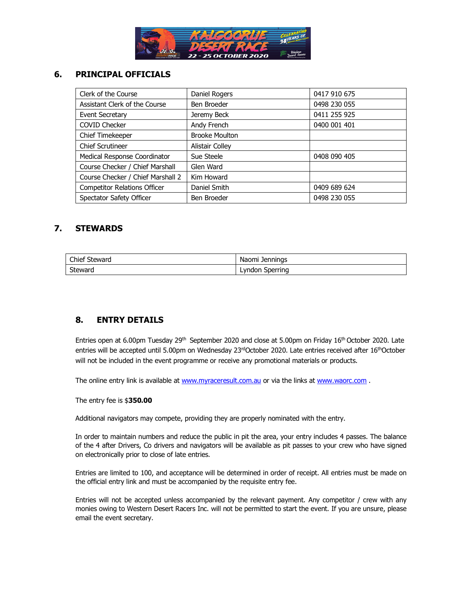

# **6. PRINCIPAL OFFICIALS**

| Clerk of the Course                 | Daniel Rogers         | 0417 910 675 |
|-------------------------------------|-----------------------|--------------|
| Assistant Clerk of the Course       | Ben Broeder           | 0498 230 055 |
| Event Secretary                     | Jeremy Beck           | 0411 255 925 |
| <b>COVID Checker</b>                | Andy French           | 0400 001 401 |
| Chief Timekeeper                    | <b>Brooke Moulton</b> |              |
| <b>Chief Scrutineer</b>             | Alistair Colley       |              |
| Medical Response Coordinator        | Sue Steele            | 0408 090 405 |
| Course Checker / Chief Marshall     | Glen Ward             |              |
| Course Checker / Chief Marshall 2   | Kim Howard            |              |
| <b>Competitor Relations Officer</b> | Daniel Smith          | 0409 689 624 |
| Spectator Safety Officer            | Ben Broeder           | 0498 230 055 |

## **7. STEWARDS**

| Chief Steward | Naomi Jennings     |
|---------------|--------------------|
| Steward       | Sperring<br>Lyndon |

# **8. ENTRY DETAILS**

Entries open at 6.00pm Tuesday 29<sup>th</sup> September 2020 and close at 5.00pm on Friday 16<sup>th</sup> October 2020. Late entries will be accepted until 5.00pm on Wednesday 23rdOctober 2020. Late entries received after 16<sup>th</sup>October will not be included in the event programme or receive any promotional materials or products.

The online entry link is available at www.myraceresult.com.au or via the links at www.waorc.com.

The entry fee is \$**350.00** 

Additional navigators may compete, providing they are properly nominated with the entry.

In order to maintain numbers and reduce the public in pit the area, your entry includes 4 passes. The balance of the 4 after Drivers, Co drivers and navigators will be available as pit passes to your crew who have signed on electronically prior to close of late entries.

Entries are limited to 100, and acceptance will be determined in order of receipt. All entries must be made on the official entry link and must be accompanied by the requisite entry fee.

Entries will not be accepted unless accompanied by the relevant payment. Any competitor / crew with any monies owing to Western Desert Racers Inc. will not be permitted to start the event. If you are unsure, please email the event secretary.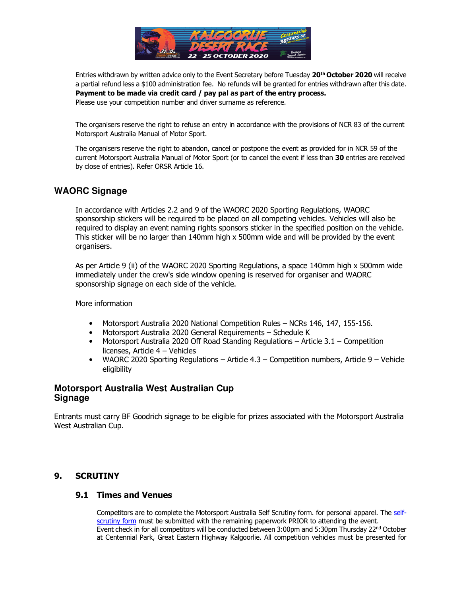

Entries withdrawn by written advice only to the Event Secretary before Tuesday **20th October 2020** will receive a partial refund less a \$100 administration fee. No refunds will be granted for entries withdrawn after this date. **Payment to be made via credit card / pay pal as part of the entry process.**  Please use your competition number and driver surname as reference.

 The organisers reserve the right to refuse an entry in accordance with the provisions of NCR 83 of the current Motorsport Australia Manual of Motor Sport.

The organisers reserve the right to abandon, cancel or postpone the event as provided for in NCR 59 of the current Motorsport Australia Manual of Motor Sport (or to cancel the event if less than **30** entries are received by close of entries). Refer ORSR Article 16.

# **WAORC Signage**

In accordance with Articles 2.2 and 9 of the WAORC 2020 Sporting Regulations, WAORC sponsorship stickers will be required to be placed on all competing vehicles. Vehicles will also be required to display an event naming rights sponsors sticker in the specified position on the vehicle. This sticker will be no larger than 140mm high x 500mm wide and will be provided by the event organisers.

As per Article 9 (ii) of the WAORC 2020 Sporting Regulations, a space 140mm high x 500mm wide immediately under the crew's side window opening is reserved for organiser and WAORC sponsorship signage on each side of the vehicle.

More information

- Motorsport Australia 2020 National Competition Rules NCRs 146, 147, 155-156.
- Motorsport Australia 2020 General Requirements Schedule K
- Motorsport Australia 2020 Off Road Standing Regulations Article 3.1 Competition licenses, Article 4 – Vehicles
- WAORC 2020 Sporting Regulations Article  $4.3$  Competition numbers, Article 9 Vehicle eligibility

## **Motorsport Australia West Australian Cup Signage**

Entrants must carry BF Goodrich signage to be eligible for prizes associated with the Motorsport Australia West Australian Cup.

## **9. SCRUTINY**

## **9.1 Times and Venues**

Competitors are to complete the Motorsport Australia Self Scrutiny form. for personal apparel. The selfscrutiny form must be submitted with the remaining paperwork PRIOR to attending the event. Event check in for all competitors will be conducted between 3:00pm and 5:30pm Thursday 22<sup>nd</sup> October at Centennial Park, Great Eastern Highway Kalgoorlie. All competition vehicles must be presented for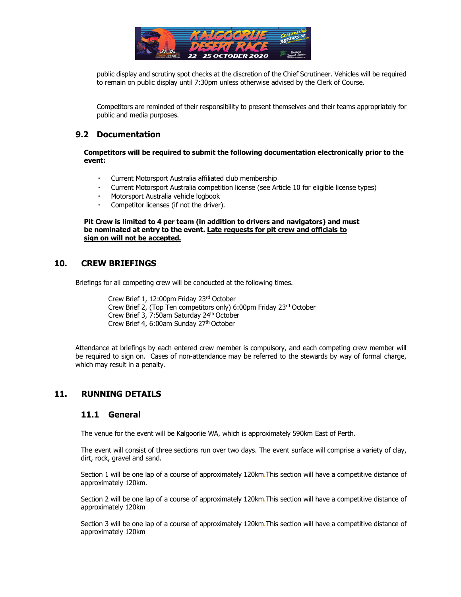

public display and scrutiny spot checks at the discretion of the Chief Scrutineer. Vehicles will be required to remain on public display until 7:30pm unless otherwise advised by the Clerk of Course.

Competitors are reminded of their responsibility to present themselves and their teams appropriately for public and media purposes.

#### **9.2 Documentation**

**Competitors will be required to submit the following documentation electronically prior to the event:** 

- Current Motorsport Australia affiliated club membership
- Current Motorsport Australia competition license (see Article 10 for eligible license types)
- Motorsport Australia vehicle logbook
- Competitor licenses (if not the driver).

**Pit Crew is limited to 4 per team (in addition to drivers and navigators) and must be nominated at entry to the event. Late requests for pit crew and officials to sign on will not be accepted.** 

#### **10. CREW BRIEFINGS**

Briefings for all competing crew will be conducted at the following times.

Crew Brief 1, 12:00pm Friday 23rd October Crew Brief 2, (Top Ten competitors only) 6:00pm Friday 23rd October Crew Brief 3, 7:50am Saturday 24th October Crew Brief 4, 6:00am Sunday 27th October

Attendance at briefings by each entered crew member is compulsory, and each competing crew member will be required to sign on. Cases of non-attendance may be referred to the stewards by way of formal charge, which may result in a penalty.

## **11. RUNNING DETAILS**

#### **11.1 General**

The venue for the event will be Kalgoorlie WA, which is approximately 590km East of Perth.

The event will consist of three sections run over two days. The event surface will comprise a variety of clay, dirt, rock, gravel and sand.

Section 1 will be one lap of a course of approximately 120km.This section will have a competitive distance of approximately 120km.

Section 2 will be one lap of a course of approximately 120km.This section will have a competitive distance of approximately 120km

Section 3 will be one lap of a course of approximately 120km.This section will have a competitive distance of approximately 120km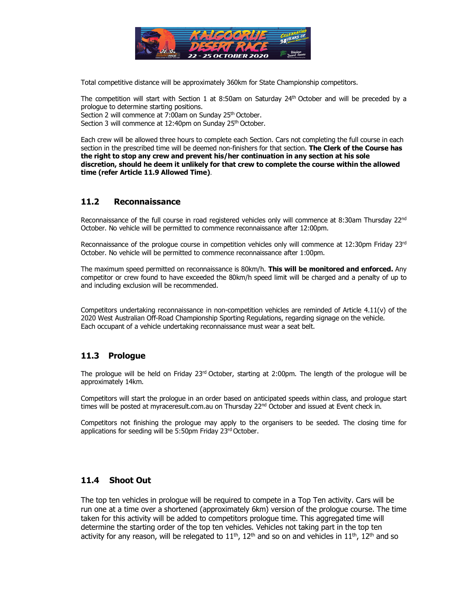

Total competitive distance will be approximately 360km for State Championship competitors.

The competition will start with Section 1 at 8:50am on Saturday  $24<sup>th</sup>$  October and will be preceded by a prologue to determine starting positions. Section 2 will commence at 7:00am on Sunday 25<sup>th</sup> October.

Section 3 will commence at 12:40pm on Sunday 25<sup>th</sup> October.

Each crew will be allowed three hours to complete each Section. Cars not completing the full course in each section in the prescribed time will be deemed non-finishers for that section. **The Clerk of the Course has the right to stop any crew and prevent his/her continuation in any section at his sole discretion, should he deem it unlikely for that crew to complete the course within the allowed time (refer Article 11.9 Allowed Time)**.

## **11.2 Reconnaissance**

Reconnaissance of the full course in road registered vehicles only will commence at 8:30am Thursday  $22^{nd}$ October. No vehicle will be permitted to commence reconnaissance after 12:00pm.

Reconnaissance of the prologue course in competition vehicles only will commence at 12:30pm Friday  $23<sup>rd</sup>$ October. No vehicle will be permitted to commence reconnaissance after 1:00pm.

The maximum speed permitted on reconnaissance is 80km/h. **This will be monitored and enforced.** Any competitor or crew found to have exceeded the 80km/h speed limit will be charged and a penalty of up to and including exclusion will be recommended.

Competitors undertaking reconnaissance in non-competition vehicles are reminded of Article 4.11(v) of the 2020 West Australian Off-Road Championship Sporting Regulations, regarding signage on the vehicle. Each occupant of a vehicle undertaking reconnaissance must wear a seat belt.

## **11.3 Prologue**

The prologue will be held on Friday  $23<sup>rd</sup>$  October, starting at 2:00pm. The length of the prologue will be approximately 14km.

Competitors will start the prologue in an order based on anticipated speeds within class, and prologue start times will be posted at myraceresult.com.au on Thursday 22<sup>nd</sup> October and issued at Event check in.

Competitors not finishing the prologue may apply to the organisers to be seeded. The closing time for applications for seeding will be 5:50pm Friday 23rd October.

## **11.4 Shoot Out**

The top ten vehicles in prologue will be required to compete in a Top Ten activity. Cars will be run one at a time over a shortened (approximately 6km) version of the prologue course. The time taken for this activity will be added to competitors prologue time. This aggregated time will determine the starting order of the top ten vehicles. Vehicles not taking part in the top ten activity for any reason, will be relegated to  $11<sup>th</sup>$ ,  $12<sup>th</sup>$  and so on and vehicles in  $11<sup>th</sup>$ ,  $12<sup>th</sup>$  and so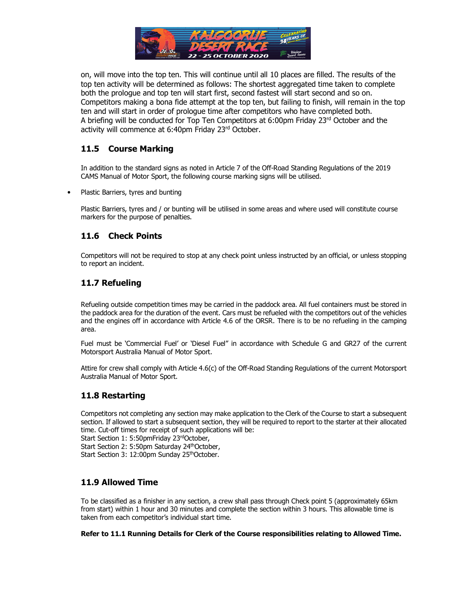

on, will move into the top ten. This will continue until all 10 places are filled. The results of the top ten activity will be determined as follows: The shortest aggregated time taken to complete both the prologue and top ten will start first, second fastest will start second and so on. Competitors making a bona fide attempt at the top ten, but failing to finish, will remain in the top ten and will start in order of prologue time after competitors who have completed both. A briefing will be conducted for Top Ten Competitors at 6:00pm Friday 23<sup>rd</sup> October and the activity will commence at 6:40pm Friday 23rd October.

## **11.5 Course Marking**

In addition to the standard signs as noted in Article 7 of the Off-Road Standing Regulations of the 2019 CAMS Manual of Motor Sport, the following course marking signs will be utilised.

• Plastic Barriers, tyres and bunting

Plastic Barriers, tyres and / or bunting will be utilised in some areas and where used will constitute course markers for the purpose of penalties.

# **11.6 Check Points**

Competitors will not be required to stop at any check point unless instructed by an official, or unless stopping to report an incident.

# **11.7 Refueling**

Refueling outside competition times may be carried in the paddock area. All fuel containers must be stored in the paddock area for the duration of the event. Cars must be refueled with the competitors out of the vehicles and the engines off in accordance with Article 4.6 of the ORSR. There is to be no refueling in the camping area.

Fuel must be 'Commercial Fuel' or 'Diesel Fuel" in accordance with Schedule G and GR27 of the current Motorsport Australia Manual of Motor Sport.

Attire for crew shall comply with Article 4.6(c) of the Off-Road Standing Regulations of the current Motorsport Australia Manual of Motor Sport.

## **11.8 Restarting**

Competitors not completing any section may make application to the Clerk of the Course to start a subsequent section. If allowed to start a subsequent section, they will be required to report to the starter at their allocated time. Cut-off times for receipt of such applications will be:

Start Section 1: 5:50pmFriday 23rdOctober,

Start Section 2: 5:50pm Saturday 24<sup>th</sup>October,

Start Section 3: 12:00pm Sunday 25<sup>th</sup>October.

## **11.9 Allowed Time**

To be classified as a finisher in any section, a crew shall pass through Check point 5 (approximately 65km from start) within 1 hour and 30 minutes and complete the section within 3 hours. This allowable time is taken from each competitor's individual start time.

**Refer to 11.1 Running Details for Clerk of the Course responsibilities relating to Allowed Time.**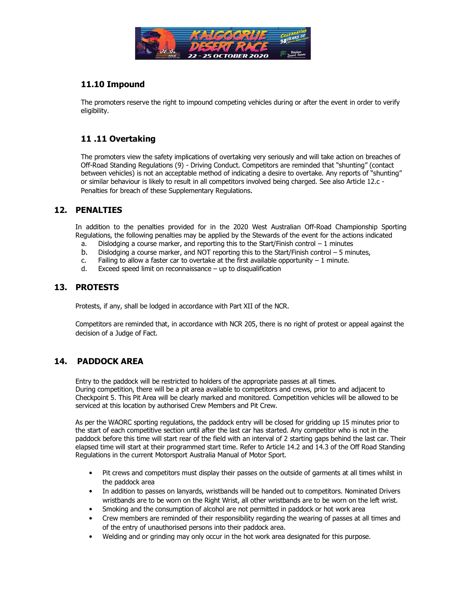

# **11.10 Impound**

The promoters reserve the right to impound competing vehicles during or after the event in order to verify eligibility.

# **11 .11 Overtaking**

The promoters view the safety implications of overtaking very seriously and will take action on breaches of Off-Road Standing Regulations (9) - Driving Conduct. Competitors are reminded that "shunting" (contact between vehicles) is not an acceptable method of indicating a desire to overtake. Any reports of "shunting" or similar behaviour is likely to result in all competitors involved being charged. See also Article 12.c - Penalties for breach of these Supplementary Regulations.

## **12. PENALTIES**

In addition to the penalties provided for in the 2020 West Australian Off-Road Championship Sporting Regulations, the following penalties may be applied by the Stewards of the event for the actions indicated

- a. Dislodging a course marker, and reporting this to the Start/Finish control  $-1$  minutes
- b. Dislodging a course marker, and NOT reporting this to the Start/Finish control 5 minutes,
- c. Failing to allow a faster car to overtake at the first available opportunity  $-1$  minute.
- d. Exceed speed limit on reconnaissance up to disqualification

#### **13. PROTESTS**

Protests, if any, shall be lodged in accordance with Part XII of the NCR.

Competitors are reminded that, in accordance with NCR 205, there is no right of protest or appeal against the decision of a Judge of Fact.

## **14. PADDOCK AREA**

Entry to the paddock will be restricted to holders of the appropriate passes at all times. During competition, there will be a pit area available to competitors and crews, prior to and adjacent to Checkpoint 5. This Pit Area will be clearly marked and monitored. Competition vehicles will be allowed to be serviced at this location by authorised Crew Members and Pit Crew.

As per the WAORC sporting regulations, the paddock entry will be closed for gridding up 15 minutes prior to the start of each competitive section until after the last car has started. Any competitor who is not in the paddock before this time will start rear of the field with an interval of 2 starting gaps behind the last car. Their elapsed time will start at their programmed start time. Refer to Article 14.2 and 14.3 of the Off Road Standing Regulations in the current Motorsport Australia Manual of Motor Sport.

- Pit crews and competitors must display their passes on the outside of garments at all times whilst in the paddock area
- In addition to passes on lanyards, wristbands will be handed out to competitors. Nominated Drivers wristbands are to be worn on the Right Wrist, all other wristbands are to be worn on the left wrist.
- Smoking and the consumption of alcohol are not permitted in paddock or hot work area
- Crew members are reminded of their responsibility regarding the wearing of passes at all times and of the entry of unauthorised persons into their paddock area.
- Welding and or grinding may only occur in the hot work area designated for this purpose.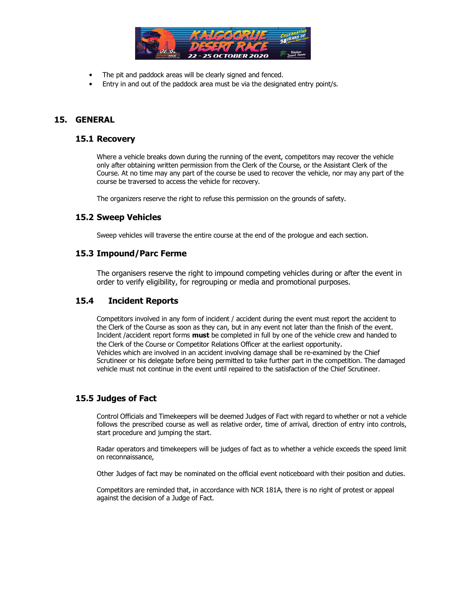

- The pit and paddock areas will be clearly signed and fenced.
- Entry in and out of the paddock area must be via the designated entry point/s.

#### **15. GENERAL**

#### **15.1 Recovery**

Where a vehicle breaks down during the running of the event, competitors may recover the vehicle only after obtaining written permission from the Clerk of the Course, or the Assistant Clerk of the Course. At no time may any part of the course be used to recover the vehicle, nor may any part of the course be traversed to access the vehicle for recovery.

The organizers reserve the right to refuse this permission on the grounds of safety.

#### **15.2 Sweep Vehicles**

Sweep vehicles will traverse the entire course at the end of the prologue and each section.

#### **15.3 Impound/Parc Ferme**

The organisers reserve the right to impound competing vehicles during or after the event in order to verify eligibility, for regrouping or media and promotional purposes.

#### **15.4 Incident Reports**

Competitors involved in any form of incident / accident during the event must report the accident to the Clerk of the Course as soon as they can, but in any event not later than the finish of the event. Incident /accident report forms **must** be completed in full by one of the vehicle crew and handed to the Clerk of the Course or Competitor Relations Officer at the earliest opportunity. Vehicles which are involved in an accident involving damage shall be re-examined by the Chief Scrutineer or his delegate before being permitted to take further part in the competition. The damaged vehicle must not continue in the event until repaired to the satisfaction of the Chief Scrutineer.

#### **15.5 Judges of Fact**

Control Officials and Timekeepers will be deemed Judges of Fact with regard to whether or not a vehicle follows the prescribed course as well as relative order, time of arrival, direction of entry into controls, start procedure and jumping the start.

Radar operators and timekeepers will be judges of fact as to whether a vehicle exceeds the speed limit on reconnaissance,

Other Judges of fact may be nominated on the official event noticeboard with their position and duties.

Competitors are reminded that, in accordance with NCR 181A, there is no right of protest or appeal against the decision of a Judge of Fact.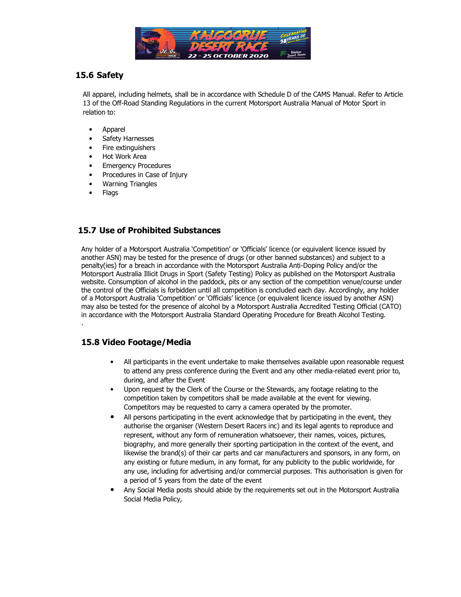

# **15.6 Safety**

All apparel, including helmets, shall be in accordance with Schedule D of the CAMS Manual. Refer to Article 13 of the Off-Road Standing Regulations in the current Motorsport Australia Manual of Motor Sport in relation to:

- Apparel
- Safety Harnesses
- Fire extinguishers
- Hot Work Area
- **Emergency Procedures**
- Procedures in Case of Injury
- Warning Triangles
- Flags

.

## **15.7 Use of Prohibited Substances**

Any holder of a Motorsport Australia 'Competition' or 'Officials' licence (or equivalent licence issued by another ASN) may be tested for the presence of drugs (or other banned substances) and subject to a penalty(ies) for a breach in accordance with the Motorsport Australia Anti-Doping Policy and/or the Motorsport Australia Illicit Drugs in Sport (Safety Testing) Policy as published on the Motorsport Australia website. Consumption of alcohol in the paddock, pits or any section of the competition venue/course under the control of the Officials is forbidden until all competition is concluded each day. Accordingly, any holder of a Motorsport Australia 'Competition' or 'Officials' licence (or equivalent licence issued by another ASN) may also be tested for the presence of alcohol by a Motorsport Australia Accredited Testing Official (CATO) in accordance with the Motorsport Australia Standard Operating Procedure for Breath Alcohol Testing.

# **15.8 Video Footage/Media**

- All participants in the event undertake to make themselves available upon reasonable request to attend any press conference during the Event and any other media-related event prior to, during, and after the Event
- Upon request by the Clerk of the Course or the Stewards, any footage relating to the competition taken by competitors shall be made available at the event for viewing. Competitors may be requested to carry a camera operated by the promoter.
- All persons participating in the event acknowledge that by participating in the event, they authorise the organiser (Western Desert Racers inc) and its legal agents to reproduce and represent, without any form of remuneration whatsoever, their names, voices, pictures, biography, and more generally their sporting participation in the context of the event, and likewise the brand(s) of their car parts and car manufacturers and sponsors, in any form, on any existing or future medium, in any format, for any publicity to the public worldwide, for any use, including for advertising and/or commercial purposes. This authorisation is given for a period of 5 years from the date of the event
- Any Social Media posts should abide by the requirements set out in the Motorsport Australia Social Media Policy,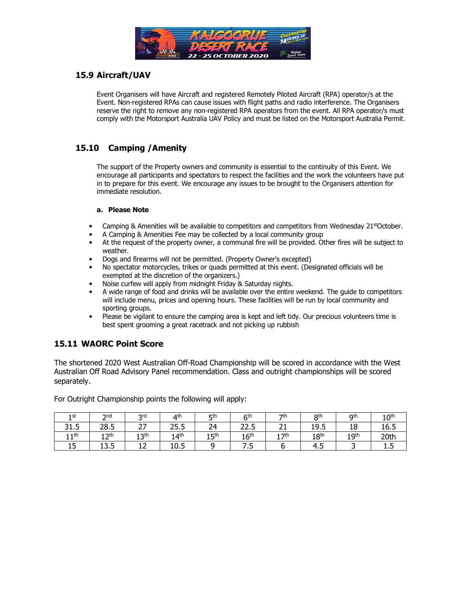

# **15.9 Aircraft/UAV**

Event Organisers will have Aircraft and registered Remotely Piloted Aircraft (RPA) operator/s at the Event. Non-registered RPAs can cause issues with flight paths and radio interference. The Organisers reserve the right to remove any non-registered RPA operators from the event. All RPA operator/s must comply with the Motorsport Australia UAV Policy and must be listed on the Motorsport Australia Permit.

# **15.10 Camping /Amenity**

The support of the Property owners and community is essential to the continuity of this Event. We encourage all participants and spectators to respect the facilities and the work the volunteers have put in to prepare for this event. We encourage any issues to be brought to the Organisers attention for immediate resolution.

#### **a. Please Note**

- Camping & Amenities will be available to competitors and competitors from Wednesday 21stOctober.
- A Camping & Amenities Fee may be collected by a local community group
- At the request of the property owner, a communal fire will be provided. Other fires will be subject to weather.
- Dogs and firearms will not be permitted. (Property Owner's excepted)
- No spectator motorcycles, trikes or quads permitted at this event. (Designated officials will be exempted at the discretion of the organizers.)
- Noise curfew will apply from midnight Friday & Saturday nights.
- A wide range of food and drinks will be available over the entire weekend. The guide to competitors will include menu, prices and opening hours. These facilities will be run by local community and sporting groups.
- Please be vigilant to ensure the camping area is kept and left tidy. Our precious volunteers time is best spent grooming a great racetrack and not picking up rubbish

# **15.11 WAORC Point Score**

The shortened 2020 West Australian Off-Road Championship will be scored in accordance with the West Australian Off Road Advisory Panel recommendation. Class and outright championships will be scored separately.

For Outright Championship points the following will apply:

| 1 st                            | 2nd                            | <b>2rd</b>                  | 4 <sup>th</sup>  | <b>5th</b> | 6 <sup>th</sup>  | 7 <sup>th</sup>     | Qth              | <b>Qth</b>               | 10 <sup>th</sup> |
|---------------------------------|--------------------------------|-----------------------------|------------------|------------|------------------|---------------------|------------------|--------------------------|------------------|
| <b>r</b><br><b>D1</b><br>ر. 1 ر | 28.5                           | $\sim$ $\sim$<br><u>.</u> , | 25.5             | 24         | ח בר<br>22.J     | n.                  | 19.5             | 18                       | 16.5             |
| 1 1 th<br>+ +                   | ้ ว <sup>th</sup><br><u>__</u> | 12 <sup>th</sup><br>∸∸      | 14 <sup>th</sup> | , ⊏th<br>ᅩ | 16 <sup>th</sup> | 1 7th<br><b>. .</b> | 18 <sup>th</sup> | 1 Q <sup>th</sup><br>∸ → | 20th             |
| <b>r</b><br>ᅩJ                  | ZЕ.<br>ຳ<br>ر.رد               | . .<br>∸∸                   | 10.5             |            | . . ب            |                     | 4.5              |                          | ⊥.J              |